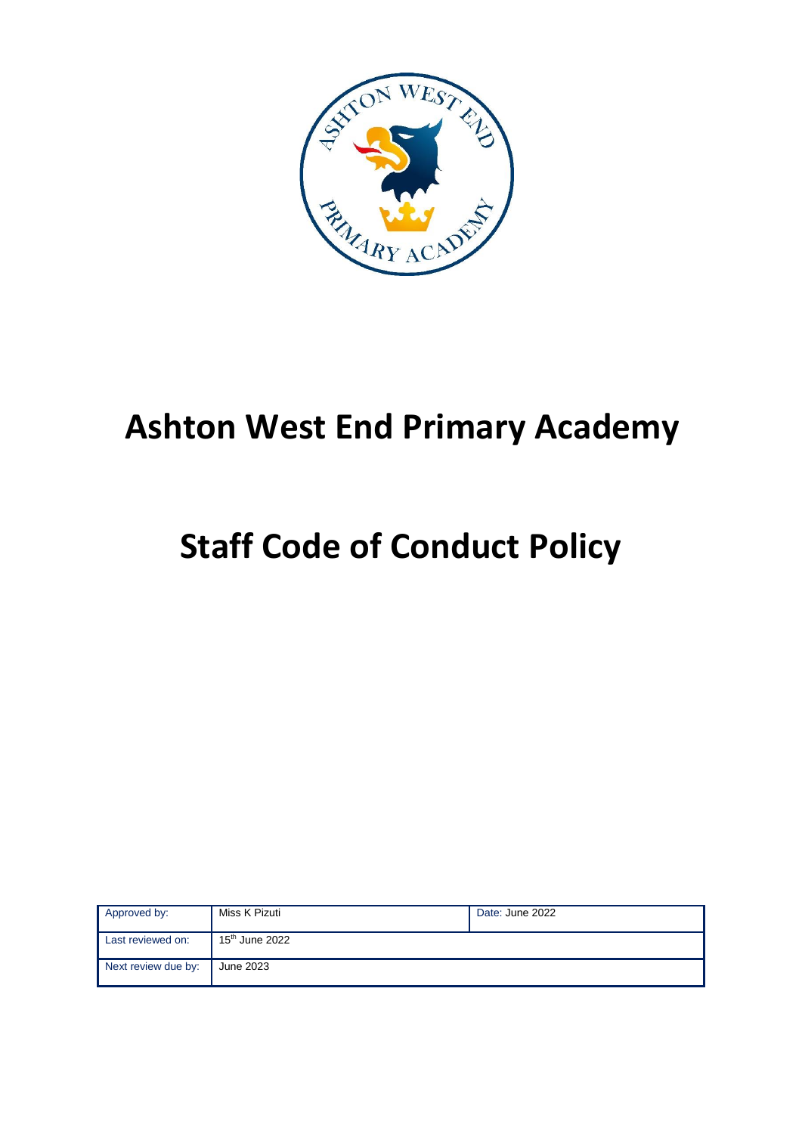

# **Ashton West End Primary Academy**

# **Staff Code of Conduct Policy**

| Approved by:        | Miss K Pizuti              | Date: June 2022 |
|---------------------|----------------------------|-----------------|
| Last reviewed on:   | 15 <sup>th</sup> June 2022 |                 |
| Next review due by: | June 2023                  |                 |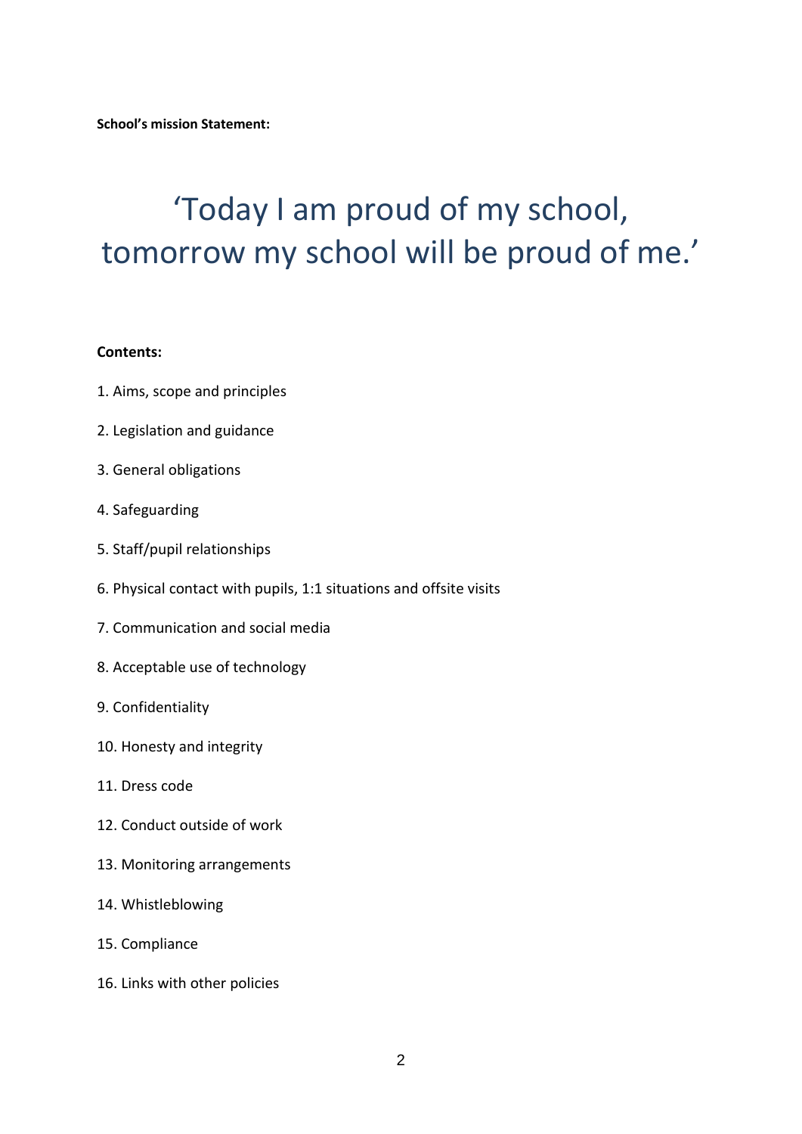**School's mission Statement:**

# 'Today I am proud of my school, tomorrow my school will be proud of me.'

#### **Contents:**

- 1. Aims, scope and principles
- 2. Legislation and guidance
- 3. General obligations
- 4. Safeguarding
- 5. Staff/pupil relationships
- 6. Physical contact with pupils, 1:1 situations and offsite visits
- 7. Communication and social media
- 8. Acceptable use of technology
- 9. Confidentiality
- 10. Honesty and integrity
- 11. Dress code
- 12. Conduct outside of work
- 13. Monitoring arrangements
- 14. Whistleblowing
- 15. Compliance
- 16. Links with other policies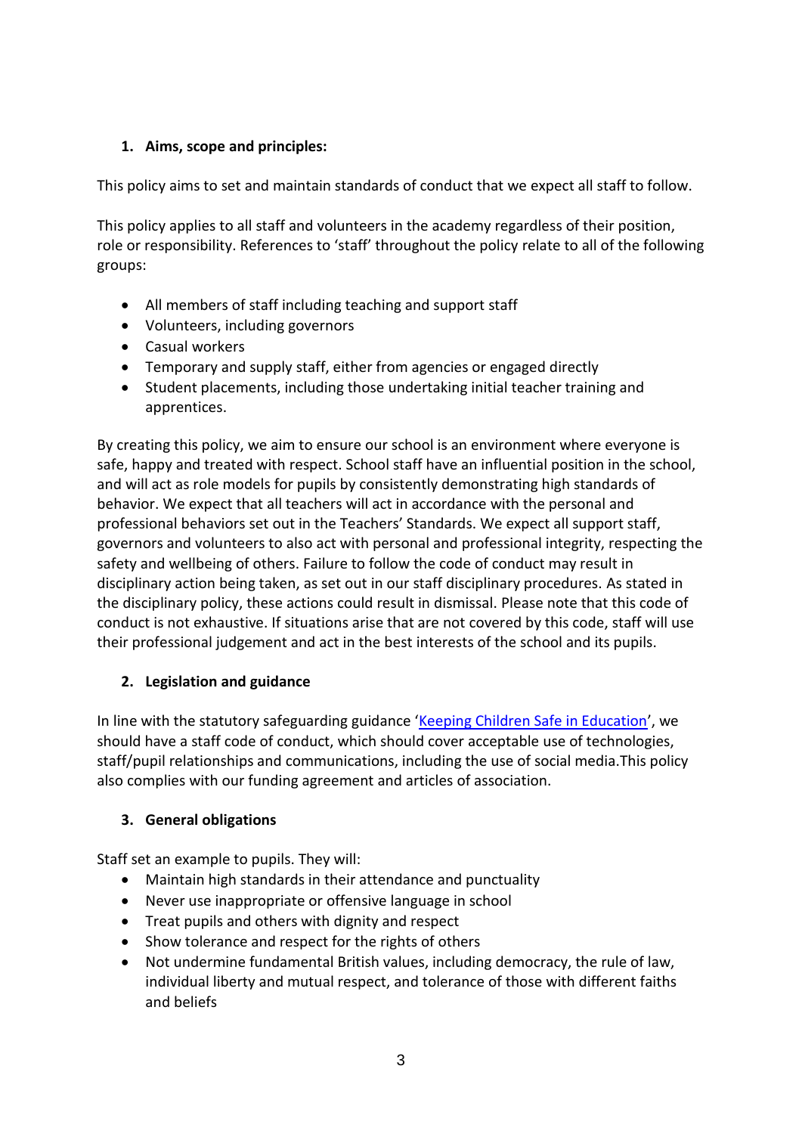# **1. Aims, scope and principles:**

This policy aims to set and maintain standards of conduct that we expect all staff to follow.

This policy applies to all staff and volunteers in the academy regardless of their position, role or responsibility. References to 'staff' throughout the policy relate to all of the following groups:

- All members of staff including teaching and support staff
- Volunteers, including governors
- Casual workers
- Temporary and supply staff, either from agencies or engaged directly
- Student placements, including those undertaking initial teacher training and apprentices.

By creating this policy, we aim to ensure our school is an environment where everyone is safe, happy and treated with respect. School staff have an influential position in the school, and will act as role models for pupils by consistently demonstrating high standards of behavior. We expect that all teachers will act in accordance with the personal and professional behaviors set out in the Teachers' Standards. We expect all support staff, governors and volunteers to also act with personal and professional integrity, respecting the safety and wellbeing of others. Failure to follow the code of conduct may result in disciplinary action being taken, as set out in our staff disciplinary procedures. As stated in the disciplinary policy, these actions could result in dismissal. Please note that this code of conduct is not exhaustive. If situations arise that are not covered by this code, staff will use their professional judgement and act in the best interests of the school and its pupils.

# **2. Legislation and guidance**

In line with the statutory safeguarding guidance '[Keeping Children Safe in Education](https://www.gov.uk/government/publications/keeping-children-safe-in-education--2)', we should have a staff code of conduct, which should cover acceptable use of technologies, staff/pupil relationships and communications, including the use of social media.This policy also complies with our funding agreement and articles of association.

# **3. General obligations**

Staff set an example to pupils. They will:

- Maintain high standards in their attendance and punctuality
- Never use inappropriate or offensive language in school
- Treat pupils and others with dignity and respect
- Show tolerance and respect for the rights of others
- Not undermine fundamental British values, including democracy, the rule of law, individual liberty and mutual respect, and tolerance of those with different faiths and beliefs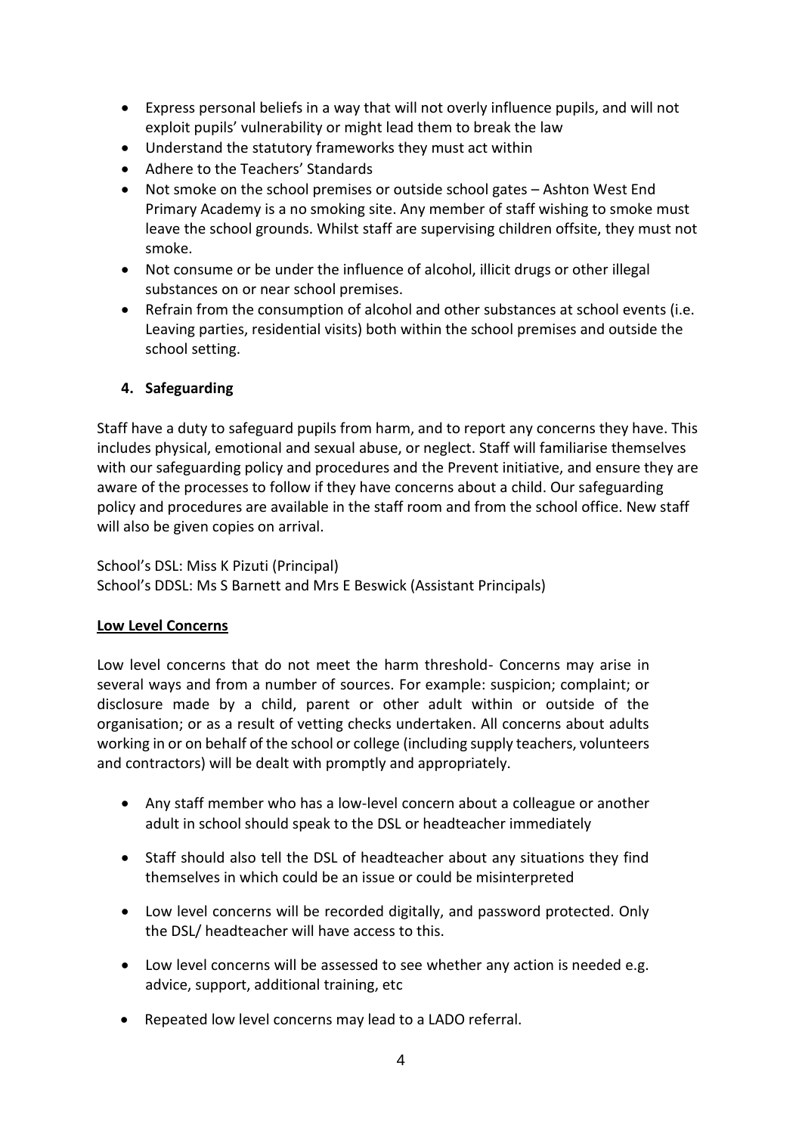- Express personal beliefs in a way that will not overly influence pupils, and will not exploit pupils' vulnerability or might lead them to break the law
- Understand the statutory frameworks they must act within
- Adhere to the Teachers' Standards
- Not smoke on the school premises or outside school gates Ashton West End Primary Academy is a no smoking site. Any member of staff wishing to smoke must leave the school grounds. Whilst staff are supervising children offsite, they must not smoke.
- Not consume or be under the influence of alcohol, illicit drugs or other illegal substances on or near school premises.
- Refrain from the consumption of alcohol and other substances at school events (i.e. Leaving parties, residential visits) both within the school premises and outside the school setting.

# **4. Safeguarding**

Staff have a duty to safeguard pupils from harm, and to report any concerns they have. This includes physical, emotional and sexual abuse, or neglect. Staff will familiarise themselves with our safeguarding policy and procedures and the Prevent initiative, and ensure they are aware of the processes to follow if they have concerns about a child. Our safeguarding policy and procedures are available in the staff room and from the school office. New staff will also be given copies on arrival.

# School's DSL: Miss K Pizuti (Principal) School's DDSL: Ms S Barnett and Mrs E Beswick (Assistant Principals)

#### **Low Level Concerns**

Low level concerns that do not meet the harm threshold- Concerns may arise in several ways and from a number of sources. For example: suspicion; complaint; or disclosure made by a child, parent or other adult within or outside of the organisation; or as a result of vetting checks undertaken. All concerns about adults working in or on behalf of the school or college (including supply teachers, volunteers and contractors) will be dealt with promptly and appropriately.

- Any staff member who has a low-level concern about a colleague or another adult in school should speak to the DSL or headteacher immediately
- Staff should also tell the DSL of headteacher about any situations they find themselves in which could be an issue or could be misinterpreted
- Low level concerns will be recorded digitally, and password protected. Only the DSL/ headteacher will have access to this.
- Low level concerns will be assessed to see whether any action is needed e.g. advice, support, additional training, etc
- Repeated low level concerns may lead to a LADO referral.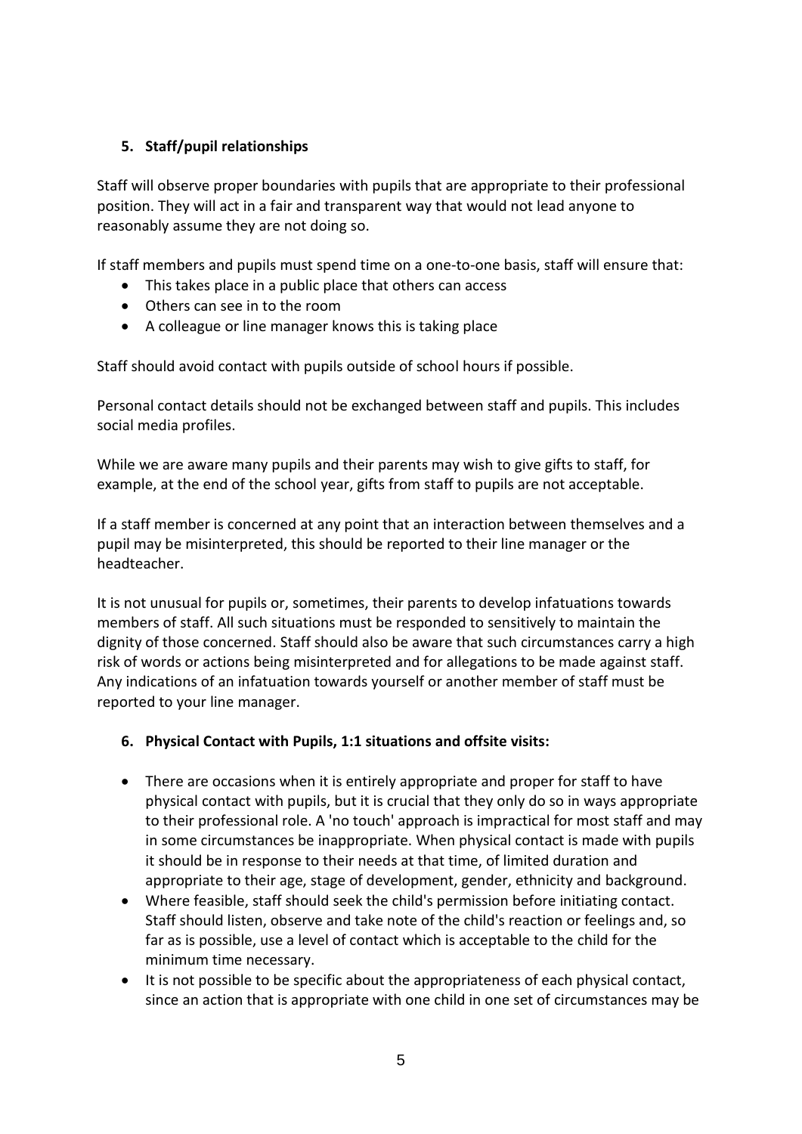# **5. Staff/pupil relationships**

Staff will observe proper boundaries with pupils that are appropriate to their professional position. They will act in a fair and transparent way that would not lead anyone to reasonably assume they are not doing so.

If staff members and pupils must spend time on a one-to-one basis, staff will ensure that:

- This takes place in a public place that others can access
- Others can see in to the room
- A colleague or line manager knows this is taking place

Staff should avoid contact with pupils outside of school hours if possible.

Personal contact details should not be exchanged between staff and pupils. This includes social media profiles.

While we are aware many pupils and their parents may wish to give gifts to staff, for example, at the end of the school year, gifts from staff to pupils are not acceptable.

If a staff member is concerned at any point that an interaction between themselves and a pupil may be misinterpreted, this should be reported to their line manager or the headteacher.

It is not unusual for pupils or, sometimes, their parents to develop infatuations towards members of staff. All such situations must be responded to sensitively to maintain the dignity of those concerned. Staff should also be aware that such circumstances carry a high risk of words or actions being misinterpreted and for allegations to be made against staff. Any indications of an infatuation towards yourself or another member of staff must be reported to your line manager.

#### **6. Physical Contact with Pupils, 1:1 situations and offsite visits:**

- There are occasions when it is entirely appropriate and proper for staff to have physical contact with pupils, but it is crucial that they only do so in ways appropriate to their professional role. A 'no touch' approach is impractical for most staff and may in some circumstances be inappropriate. When physical contact is made with pupils it should be in response to their needs at that time, of limited duration and appropriate to their age, stage of development, gender, ethnicity and background.
- Where feasible, staff should seek the child's permission before initiating contact. Staff should listen, observe and take note of the child's reaction or feelings and, so far as is possible, use a level of contact which is acceptable to the child for the minimum time necessary.
- It is not possible to be specific about the appropriateness of each physical contact, since an action that is appropriate with one child in one set of circumstances may be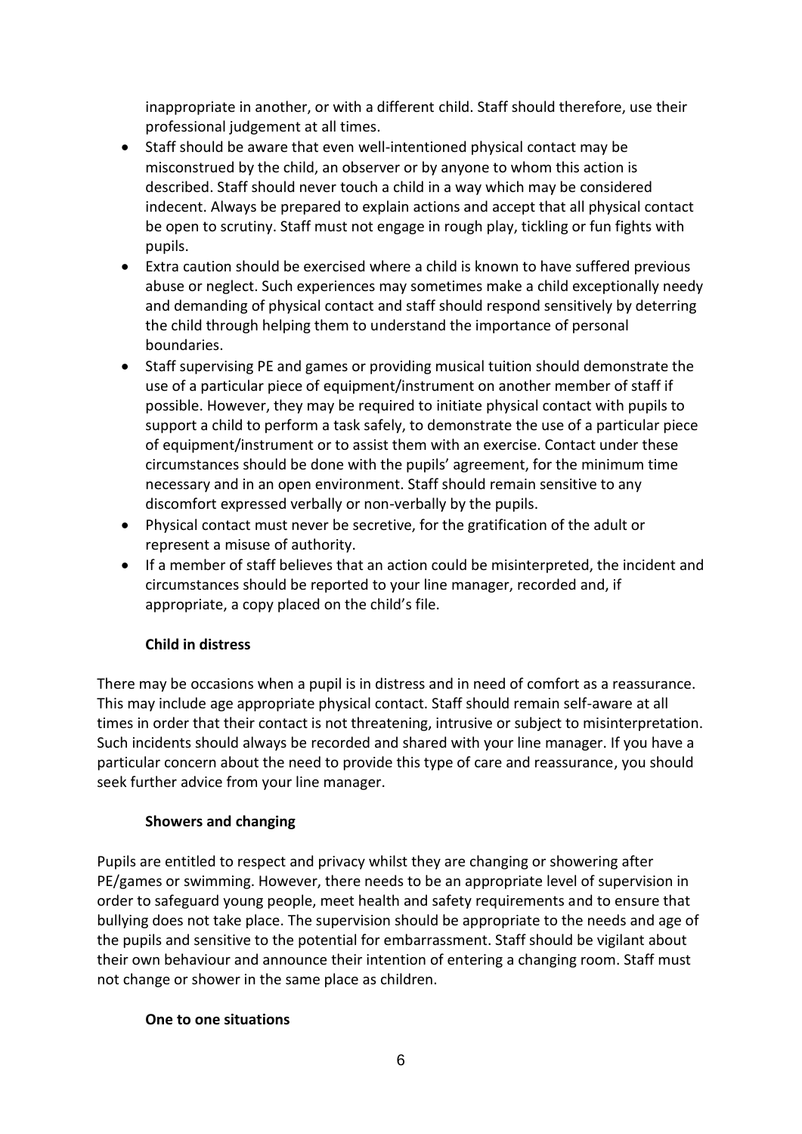inappropriate in another, or with a different child. Staff should therefore, use their professional judgement at all times.

- Staff should be aware that even well-intentioned physical contact may be misconstrued by the child, an observer or by anyone to whom this action is described. Staff should never touch a child in a way which may be considered indecent. Always be prepared to explain actions and accept that all physical contact be open to scrutiny. Staff must not engage in rough play, tickling or fun fights with pupils.
- Extra caution should be exercised where a child is known to have suffered previous abuse or neglect. Such experiences may sometimes make a child exceptionally needy and demanding of physical contact and staff should respond sensitively by deterring the child through helping them to understand the importance of personal boundaries.
- Staff supervising PE and games or providing musical tuition should demonstrate the use of a particular piece of equipment/instrument on another member of staff if possible. However, they may be required to initiate physical contact with pupils to support a child to perform a task safely, to demonstrate the use of a particular piece of equipment/instrument or to assist them with an exercise. Contact under these circumstances should be done with the pupils' agreement, for the minimum time necessary and in an open environment. Staff should remain sensitive to any discomfort expressed verbally or non-verbally by the pupils.
- Physical contact must never be secretive, for the gratification of the adult or represent a misuse of authority.
- If a member of staff believes that an action could be misinterpreted, the incident and circumstances should be reported to your line manager, recorded and, if appropriate, a copy placed on the child's file.

# **Child in distress**

There may be occasions when a pupil is in distress and in need of comfort as a reassurance. This may include age appropriate physical contact. Staff should remain self-aware at all times in order that their contact is not threatening, intrusive or subject to misinterpretation. Such incidents should always be recorded and shared with your line manager. If you have a particular concern about the need to provide this type of care and reassurance, you should seek further advice from your line manager.

#### **Showers and changing**

Pupils are entitled to respect and privacy whilst they are changing or showering after PE/games or swimming. However, there needs to be an appropriate level of supervision in order to safeguard young people, meet health and safety requirements and to ensure that bullying does not take place. The supervision should be appropriate to the needs and age of the pupils and sensitive to the potential for embarrassment. Staff should be vigilant about their own behaviour and announce their intention of entering a changing room. Staff must not change or shower in the same place as children.

#### **One to one situations**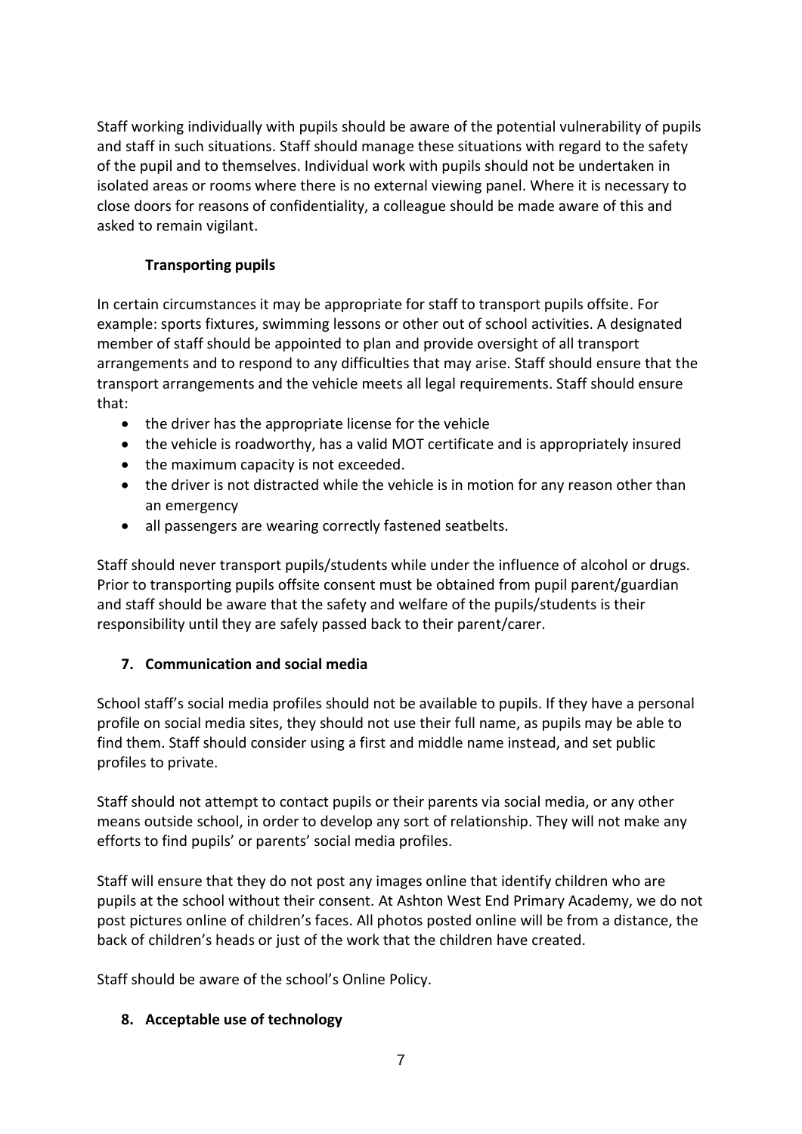Staff working individually with pupils should be aware of the potential vulnerability of pupils and staff in such situations. Staff should manage these situations with regard to the safety of the pupil and to themselves. Individual work with pupils should not be undertaken in isolated areas or rooms where there is no external viewing panel. Where it is necessary to close doors for reasons of confidentiality, a colleague should be made aware of this and asked to remain vigilant.

# **Transporting pupils**

In certain circumstances it may be appropriate for staff to transport pupils offsite. For example: sports fixtures, swimming lessons or other out of school activities. A designated member of staff should be appointed to plan and provide oversight of all transport arrangements and to respond to any difficulties that may arise. Staff should ensure that the transport arrangements and the vehicle meets all legal requirements. Staff should ensure that:

- the driver has the appropriate license for the vehicle
- the vehicle is roadworthy, has a valid MOT certificate and is appropriately insured
- the maximum capacity is not exceeded.
- the driver is not distracted while the vehicle is in motion for any reason other than an emergency
- all passengers are wearing correctly fastened seatbelts.

Staff should never transport pupils/students while under the influence of alcohol or drugs. Prior to transporting pupils offsite consent must be obtained from pupil parent/guardian and staff should be aware that the safety and welfare of the pupils/students is their responsibility until they are safely passed back to their parent/carer.

# **7. Communication and social media**

School staff's social media profiles should not be available to pupils. If they have a personal profile on social media sites, they should not use their full name, as pupils may be able to find them. Staff should consider using a first and middle name instead, and set public profiles to private.

Staff should not attempt to contact pupils or their parents via social media, or any other means outside school, in order to develop any sort of relationship. They will not make any efforts to find pupils' or parents' social media profiles.

Staff will ensure that they do not post any images online that identify children who are pupils at the school without their consent. At Ashton West End Primary Academy, we do not post pictures online of children's faces. All photos posted online will be from a distance, the back of children's heads or just of the work that the children have created.

Staff should be aware of the school's Online Policy.

# **8. Acceptable use of technology**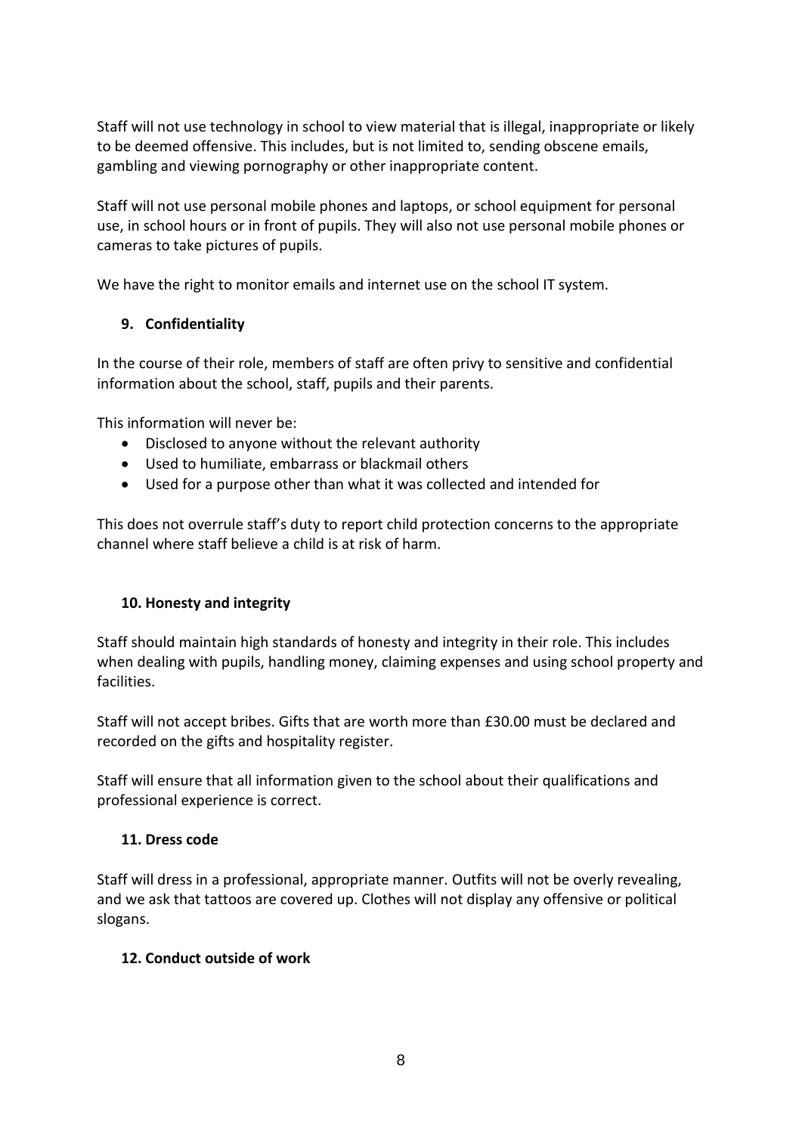Staff will not use technology in school to view material that is illegal, inappropriate or likely to be deemed offensive. This includes, but is not limited to, sending obscene emails, gambling and viewing pornography or other inappropriate content.

Staff will not use personal mobile phones and laptops, or school equipment for personal use, in school hours or in front of pupils. They will also not use personal mobile phones or cameras to take pictures of pupils.

We have the right to monitor emails and internet use on the school IT system.

# **9. Confidentiality**

In the course of their role, members of staff are often privy to sensitive and confidential information about the school, staff, pupils and their parents.

This information will never be:

- Disclosed to anyone without the relevant authority
- Used to humiliate, embarrass or blackmail others
- Used for a purpose other than what it was collected and intended for

This does not overrule staff's duty to report child protection concerns to the appropriate channel where staff believe a child is at risk of harm.

# **10. Honesty and integrity**

Staff should maintain high standards of honesty and integrity in their role. This includes when dealing with pupils, handling money, claiming expenses and using school property and facilities.

Staff will not accept bribes. Gifts that are worth more than £30.00 must be declared and recorded on the gifts and hospitality register.

Staff will ensure that all information given to the school about their qualifications and professional experience is correct.

# **11. Dress code**

Staff will dress in a professional, appropriate manner. Outfits will not be overly revealing, and we ask that tattoos are covered up. Clothes will not display any offensive or political slogans.

# **12. Conduct outside of work**